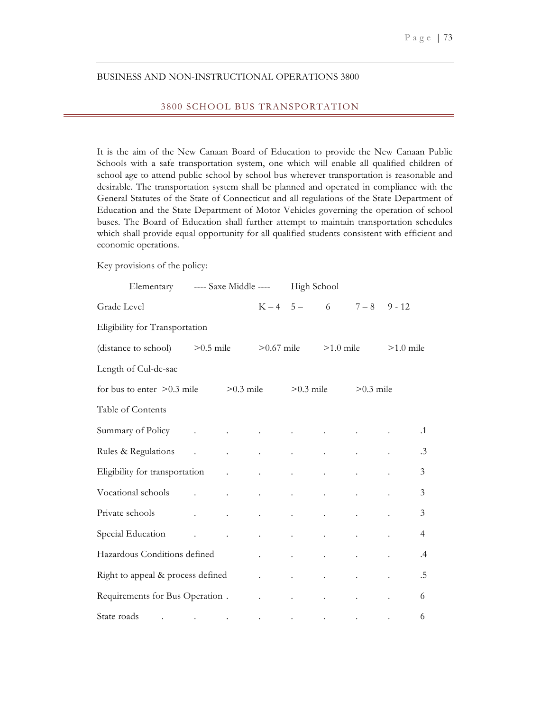# BUSINESS AND NON-INSTRUCTIONAL OPERATIONS 3800

### 3800 SCHOOL BUS TRANSPORTATION

It is the aim of the New Canaan Board of Education to provide the New Canaan Public Schools with a safe transportation system, one which will enable all qualified children of school age to attend public school by school bus wherever transportation is reasonable and desirable. The transportation system shall be planned and operated in compliance with the General Statutes of the State of Connecticut and all regulations of the State Department of Education and the State Department of Motor Vehicles governing the operation of school buses. The Board of Education shall further attempt to maintain transportation schedules which shall provide equal opportunity for all qualified students consistent with efficient and economic operations.

Key provisions of the policy:

| Elementary                                                                                                                                                                                                                     | ---- Saxe Middle ----     |                                                                                                                                      |                               | High School                                             |                            |                            |             |                |
|--------------------------------------------------------------------------------------------------------------------------------------------------------------------------------------------------------------------------------|---------------------------|--------------------------------------------------------------------------------------------------------------------------------------|-------------------------------|---------------------------------------------------------|----------------------------|----------------------------|-------------|----------------|
| Grade Level                                                                                                                                                                                                                    |                           |                                                                                                                                      |                               | $K - 4 = 5 -$                                           | 6 - 10                     | $7 - 8$                    | $9 - 12$    |                |
| Eligibility for Transportation                                                                                                                                                                                                 |                           |                                                                                                                                      |                               |                                                         |                            |                            |             |                |
| (distance to school)                                                                                                                                                                                                           | $>0.5$ mile               |                                                                                                                                      | $>0.67$ mile                  |                                                         | $>1.0$ mile                |                            | $>1.0$ mile |                |
| Length of Cul-de-sac                                                                                                                                                                                                           |                           |                                                                                                                                      |                               |                                                         |                            |                            |             |                |
| for bus to enter $>0.3$ mile                                                                                                                                                                                                   |                           | $>0.3$ mile                                                                                                                          |                               | $>0.3$ mile                                             |                            | $>0.3$ mile                |             |                |
| Table of Contents                                                                                                                                                                                                              |                           |                                                                                                                                      |                               |                                                         |                            |                            |             |                |
| Summary of Policy .                                                                                                                                                                                                            |                           |                                                                                                                                      |                               | <b>All Contract Contracts</b>                           |                            |                            |             | $\cdot$ 1      |
| Rules & Regulations .                                                                                                                                                                                                          |                           |                                                                                                                                      | $\mathcal{L}^{\text{max}}$    | $\mathbf{z}$ and $\mathbf{z}$ and $\mathbf{z}$          | $\bullet$ .                | $\mathbf{L}^{\text{max}}$  |             | $\cdot$ 3      |
| Eligibility for transportation .                                                                                                                                                                                               |                           |                                                                                                                                      | $\mathbf{a}$ and $\mathbf{a}$ | $\mathbf{L} = \mathbf{0}$                               | $\mathbf{L}^{\text{max}}$  | $\mathcal{L}^{\text{max}}$ |             | $\mathfrak{Z}$ |
| Vocational schools contracts as a series of the series of the series of the series of the series of the series of the series of the series of the series of the series of the series of the series of the series of the series |                           |                                                                                                                                      | $\mathbf{z} = \mathbf{z}$     | $\bullet$ . The second second $\bullet$                 | $\Box$                     | $\bullet$ .                |             | $\overline{3}$ |
| Private schools                                                                                                                                                                                                                | $\mathbf{L}^{\text{max}}$ | $\sim 100$                                                                                                                           | $\bullet$ .                   | $\bullet$ .                                             | $\ddot{\phantom{a}}$       | $\ddot{\phantom{0}}$       |             | 3              |
| Special Education                                                                                                                                                                                                              |                           | and the company of the com-                                                                                                          |                               | <b>Contractor</b>                                       | $\mathbf{L}^{\text{max}}$  | $\mathcal{L}^{\text{max}}$ |             | $\overline{4}$ |
| Hazardous Conditions defined                                                                                                                                                                                                   |                           |                                                                                                                                      | $\mathbf{A}$ and $\mathbf{A}$ | $\mathcal{L}^{\text{max}}$                              | $\mathcal{L}^{\text{max}}$ | $\mathcal{L}^{\text{max}}$ |             | .4             |
| Right to appeal & process defined                                                                                                                                                                                              |                           |                                                                                                                                      | $\mathcal{L}^{\text{max}}$    | $\mathbf{L}^{\text{max}}$ and $\mathbf{L}^{\text{max}}$ | $\Box$                     | $\mathcal{L}^{\text{max}}$ |             | .5             |
| Requirements for Bus Operation .                                                                                                                                                                                               |                           |                                                                                                                                      | $\ddot{\phantom{a}}$          | $\ddot{\phantom{0}}$                                    | $\bullet$                  | $\ddot{\phantom{0}}$       |             | 6              |
| State roads                                                                                                                                                                                                                    |                           | $\mathcal{L}^{\mathcal{L}}(\mathcal{L}^{\mathcal{L}})$ and $\mathcal{L}^{\mathcal{L}}(\mathcal{L}^{\mathcal{L}})$ . The contribution |                               | and the contract of the contract of the contract of     |                            |                            |             | 6              |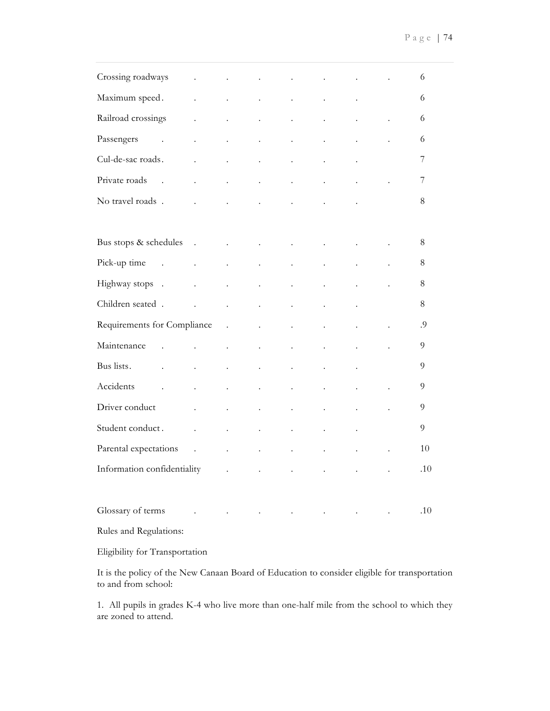| Crossing roadways                                                                                                                   | $\ddot{\phantom{a}}$ |                            |                      | $\ddot{\phantom{0}}$ | $\ddot{\phantom{0}}$ | $\ddot{\phantom{0}}$ |                      | 6   |
|-------------------------------------------------------------------------------------------------------------------------------------|----------------------|----------------------------|----------------------|----------------------|----------------------|----------------------|----------------------|-----|
| Maximum speed.                                                                                                                      | $\ddot{\phantom{a}}$ |                            | $\ddot{\phantom{0}}$ | $\ddot{\phantom{0}}$ | $\ddot{\phantom{0}}$ | $\ddot{\phantom{0}}$ |                      | 6   |
| Railroad crossings                                                                                                                  | $\ddot{\phantom{0}}$ | $\ddot{\phantom{a}}$       | $\ddot{\phantom{0}}$ | $\ddot{\phantom{0}}$ | $\ddot{\phantom{0}}$ | $\ddot{\phantom{a}}$ |                      | 6   |
| Passengers<br>$\sim$                                                                                                                | $\ddot{\phantom{0}}$ |                            | $\ddot{\phantom{0}}$ | $\ddot{\phantom{0}}$ | $\ddot{\phantom{0}}$ | $\ddot{\phantom{0}}$ |                      | 6   |
| Cul-de-sac roads.                                                                                                                   | $\ddot{\phantom{0}}$ | $\ddot{\phantom{0}}$       | $\ddot{\phantom{0}}$ | $\ddot{\phantom{0}}$ | $\ddot{\phantom{0}}$ | $\ddot{\phantom{0}}$ |                      | 7   |
| Private roads<br>$\sim$ .                                                                                                           | $\ddot{\phantom{0}}$ | $\ddot{\phantom{0}}$       | $\ddot{\phantom{0}}$ | $\ddot{\phantom{0}}$ | $\ddot{\phantom{0}}$ | $\ddot{\phantom{a}}$ |                      | 7   |
| No travel roads.                                                                                                                    | $\ddot{\phantom{a}}$ | $\ddot{\phantom{a}}$       |                      | $\ddot{\phantom{0}}$ |                      |                      |                      | 8   |
|                                                                                                                                     |                      |                            |                      |                      |                      |                      |                      |     |
| Bus stops & schedules                                                                                                               | $\sim$               | $\mathcal{L}^{\text{max}}$ | $\ddot{\phantom{a}}$ | $\ddot{\phantom{0}}$ | $\ddot{\phantom{0}}$ | $\ddot{\phantom{0}}$ |                      | 8   |
| Pick-up time.                                                                                                                       | $\ddot{\phantom{a}}$ | $\ddot{\phantom{a}}$       | $\ddot{\phantom{0}}$ | $\ddot{\phantom{0}}$ | $\ddot{\phantom{0}}$ | $\ddot{\phantom{a}}$ |                      | 8   |
| Highway stops .                                                                                                                     | $\ddot{\phantom{0}}$ |                            | $\ddot{\phantom{0}}$ | $\ddot{\phantom{0}}$ |                      | $\ddot{\phantom{0}}$ |                      | 8   |
| Children seated.                                                                                                                    | $\ddot{\phantom{a}}$ | $\ddot{\phantom{a}}$       | $\ddot{\phantom{0}}$ | $\ddot{\phantom{0}}$ | $\ddot{\phantom{0}}$ | $\ddot{\phantom{0}}$ |                      | 8   |
| Requirements for Compliance                                                                                                         |                      | $\sim 100$                 | $\ddot{\phantom{0}}$ | $\ddot{\phantom{0}}$ | $\ddot{\phantom{0}}$ | $\ddot{\phantom{0}}$ | $\ddot{\phantom{0}}$ | .9  |
| Maintenance                                                                                                                         |                      |                            | $\ddot{\phantom{0}}$ |                      |                      |                      |                      | 9   |
| Bus lists.                                                                                                                          | $\ddot{\phantom{a}}$ | $\ddot{\phantom{0}}$       | $\ddot{\phantom{0}}$ | $\ddot{\phantom{0}}$ | $\ddot{\phantom{0}}$ | $\ddot{\phantom{0}}$ |                      | 9   |
| Accidents                                                                                                                           | $\ddot{\phantom{a}}$ | $\ddot{\phantom{0}}$       | $\ddot{\phantom{0}}$ | $\ddot{\phantom{0}}$ | $\ddot{\phantom{0}}$ | $\ddot{\phantom{0}}$ | $\ddot{\phantom{0}}$ | 9   |
| Driver conduct                                                                                                                      | $\ddot{\phantom{0}}$ |                            |                      |                      |                      |                      |                      | 9   |
| Student conduct.                                                                                                                    | $\ddot{\phantom{a}}$ | $\ddot{\phantom{0}}$       | $\ddot{\phantom{0}}$ | $\ddot{\phantom{0}}$ | $\ddot{\phantom{0}}$ | $\ddot{\phantom{0}}$ |                      | 9   |
| Parental expectations .                                                                                                             |                      | $\ddot{\phantom{0}}$       | $\ddot{\phantom{a}}$ | $\ddot{\phantom{0}}$ | $\ddot{\phantom{0}}$ | $\ddot{\phantom{0}}$ |                      | 10  |
| Information confidentiality                                                                                                         |                      | $\ddot{\phantom{a}}$       |                      |                      |                      |                      |                      | .10 |
|                                                                                                                                     |                      |                            |                      |                      |                      |                      |                      |     |
| Glossary of terms                                                                                                                   | $\ddot{\phantom{a}}$ |                            | $\ddot{\phantom{a}}$ | $\ddot{\phantom{0}}$ | $\ddot{\phantom{0}}$ | $\bullet$            |                      | .10 |
| $\mathbf{B}$ and $\mathbf{B}$ and $\mathbf{B}$ and $\mathbf{B}$ and $\mathbf{B}$ and $\mathbf{B}$ and $\mathbf{B}$ and $\mathbf{B}$ |                      |                            |                      |                      |                      |                      |                      |     |

Rules and Regulations:

Eligibility for Transportation

It is the policy of the New Canaan Board of Education to consider eligible for transportation to and from school:

1. All pupils in grades K-4 who live more than one-half mile from the school to which they are zoned to attend.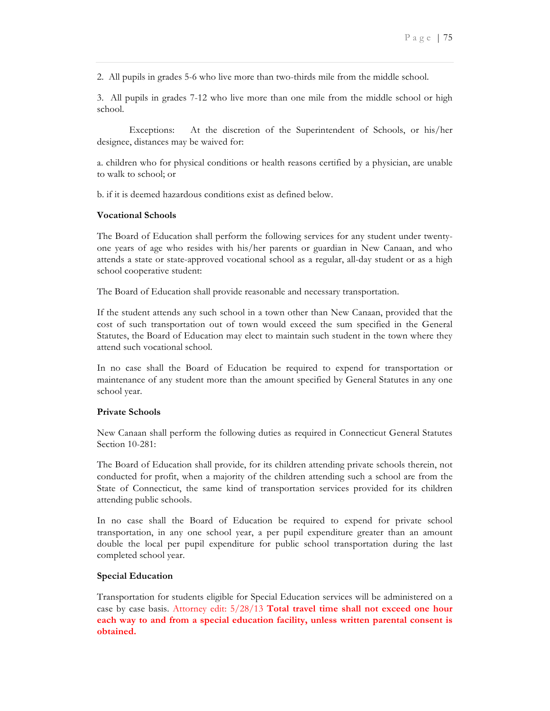2. All pupils in grades 5-6 who live more than two-thirds mile from the middle school.

3. All pupils in grades 7-12 who live more than one mile from the middle school or high school.

Exceptions: At the discretion of the Superintendent of Schools, or his/her designee, distances may be waived for:

a. children who for physical conditions or health reasons certified by a physician, are unable to walk to school; or

b. if it is deemed hazardous conditions exist as defined below.

# **Vocational Schools**

The Board of Education shall perform the following services for any student under twentyone years of age who resides with his/her parents or guardian in New Canaan, and who attends a state or state-approved vocational school as a regular, all-day student or as a high school cooperative student:

The Board of Education shall provide reasonable and necessary transportation.

If the student attends any such school in a town other than New Canaan, provided that the cost of such transportation out of town would exceed the sum specified in the General Statutes, the Board of Education may elect to maintain such student in the town where they attend such vocational school.

In no case shall the Board of Education be required to expend for transportation or maintenance of any student more than the amount specified by General Statutes in any one school year.

#### **Private Schools**

New Canaan shall perform the following duties as required in Connecticut General Statutes Section 10-281:

The Board of Education shall provide, for its children attending private schools therein, not conducted for profit, when a majority of the children attending such a school are from the State of Connecticut, the same kind of transportation services provided for its children attending public schools.

In no case shall the Board of Education be required to expend for private school transportation, in any one school year, a per pupil expenditure greater than an amount double the local per pupil expenditure for public school transportation during the last completed school year.

#### **Special Education**

Transportation for students eligible for Special Education services will be administered on a case by case basis. Attorney edit: 5/28/13 **Total travel time shall not exceed one hour each way to and from a special education facility, unless written parental consent is obtained.**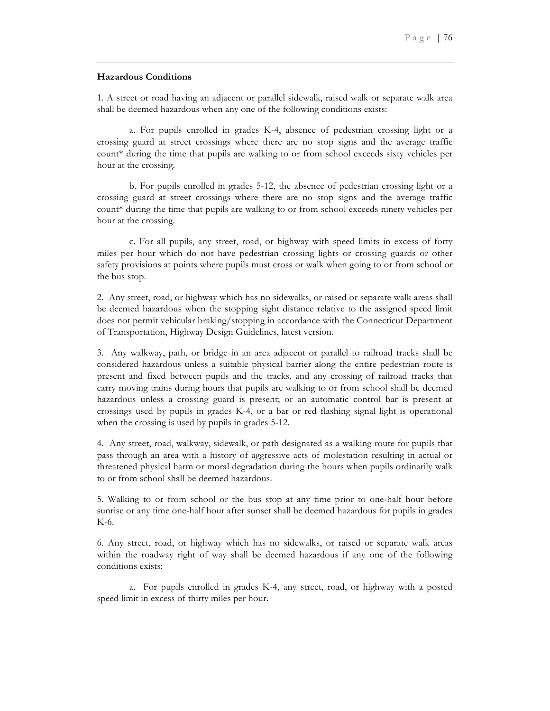### **Hazardous Conditions**

1. A street or road having an adjacent or parallel sidewalk, raised walk or separate walk area shall be deemed hazardous when any one of the following conditions exists:

a. For pupils enrolled in grades K-4, absence of pedestrian crossing light or a crossing guard at street crossings where there are no stop signs and the average traffic count\* during the time that pupils are walking to or from school exceeds sixty vehicles per hour at the crossing.

b. For pupils enrolled in grades 5-12, the absence of pedestrian crossing light or a crossing guard at street crossings where there are no stop signs and the average traffic count\* during the time that pupils are walking to or from school exceeds ninety vehicles per hour at the crossing.

c. For all pupils, any street, road, or highway with speed limits in excess of forty miles per hour which do not have pedestrian crossing lights or crossing guards or other safety provisions at points where pupils must cross or walk when going to or from school or the bus stop.

2. Any street, road, or highway which has no sidewalks, or raised or separate walk areas shall be deemed hazardous when the stopping sight distance relative to the assigned speed limit does not permit vehicular braking/stopping in accordance with the Connecticut Department of Transportation, Highway Design Guidelines, latest version.

3. Any walkway, path, or bridge in an area adjacent or parallel to railroad tracks shall be considered hazardous unless a suitable physical barrier along the entire pedestrian route is present and fixed between pupils and the tracks, and any crossing of railroad tracks that carry moving trains during hours that pupils are walking to or from school shall be deemed hazardous unless a crossing guard is present; or an automatic control bar is present at crossings used by pupils in grades K-4, or a bar or red flashing signal light is operational when the crossing is used by pupils in grades 5-12.

4. Any street, road, walkway, sidewalk, or path designated as a walking route for pupils that pass through an area with a history of aggressive acts of molestation resulting in actual or threatened physical harm or moral degradation during the hours when pupils ordinarily walk to or from school shall be deemed hazardous.

5. Walking to or from school or the bus stop at any time prior to one-half hour before sunrise or any time one-half hour after sunset shall be deemed hazardous for pupils in grades K-6.

6. Any street, road, or highway which has no sidewalks, or raised or separate walk areas within the roadway right of way shall be deemed hazardous if any one of the following conditions exists:

a. For pupils enrolled in grades K-4, any street, road, or highway with a posted speed limit in excess of thirty miles per hour.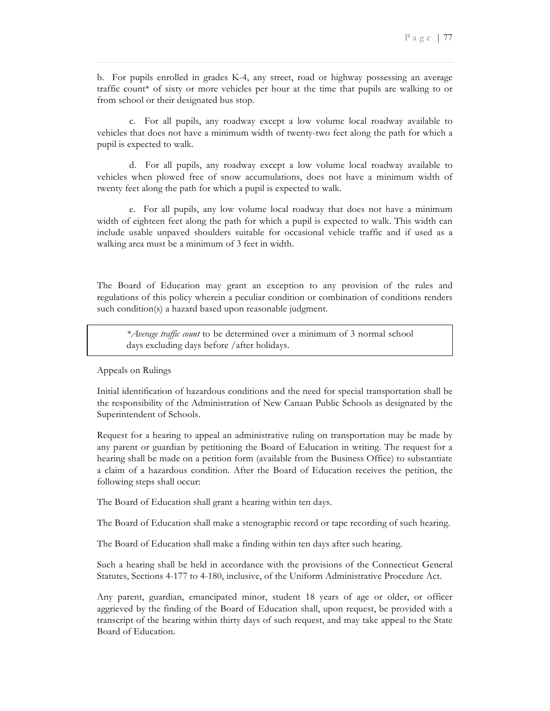b. For pupils enrolled in grades K-4, any street, road or highway possessing an average traffic count\* of sixty or more vehicles per hour at the time that pupils are walking to or from school or their designated bus stop.

c. For all pupils, any roadway except a low volume local roadway available to vehicles that does not have a minimum width of twenty-two feet along the path for which a pupil is expected to walk.

d. For all pupils, any roadway except a low volume local roadway available to vehicles when plowed free of snow accumulations, does not have a minimum width of twenty feet along the path for which a pupil is expected to walk.

e. For all pupils, any low volume local roadway that does not have a minimum width of eighteen feet along the path for which a pupil is expected to walk. This width can include usable unpaved shoulders suitable for occasional vehicle traffic and if used as a walking area must be a minimum of 3 feet in width.

The Board of Education may grant an exception to any provision of the rules and regulations of this policy wherein a peculiar condition or combination of conditions renders such condition(s) a hazard based upon reasonable judgment.

*\*Average traffic count* to be determined over a minimum of 3 normal school days excluding days before /after holidays.

Appeals on Rulings

Initial identification of hazardous conditions and the need for special transportation shall be the responsibility of the Administration of New Canaan Public Schools as designated by the Superintendent of Schools.

Request for a hearing to appeal an administrative ruling on transportation may be made by any parent or guardian by petitioning the Board of Education in writing. The request for a hearing shall be made on a petition form (available from the Business Office) to substantiate a claim of a hazardous condition. After the Board of Education receives the petition, the following steps shall occur:

The Board of Education shall grant a hearing within ten days.

The Board of Education shall make a stenographic record or tape recording of such hearing.

The Board of Education shall make a finding within ten days after such hearing.

Such a hearing shall be held in accordance with the provisions of the Connecticut General Statutes, Sections 4-177 to 4-180, inclusive, of the Uniform Administrative Procedure Act.

Any parent, guardian, emancipated minor, student 18 years of age or older, or officer aggrieved by the finding of the Board of Education shall, upon request, be provided with a transcript of the hearing within thirty days of such request, and may take appeal to the State Board of Education.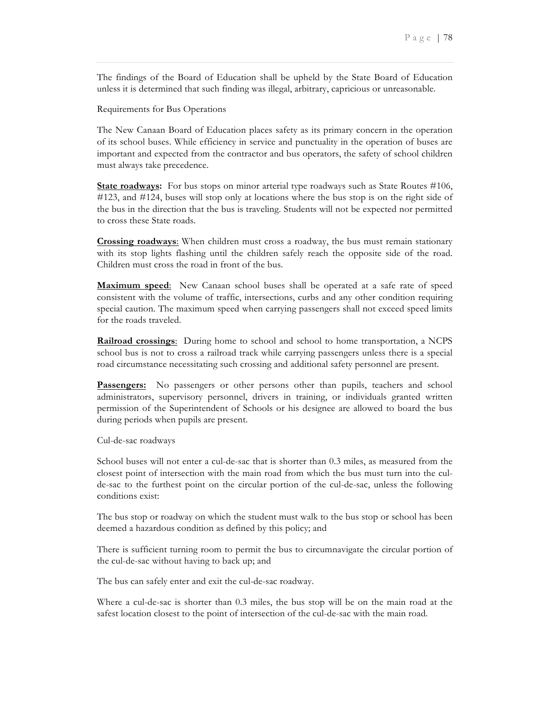The findings of the Board of Education shall be upheld by the State Board of Education unless it is determined that such finding was illegal, arbitrary, capricious or unreasonable.

Requirements for Bus Operations

The New Canaan Board of Education places safety as its primary concern in the operation of its school buses. While efficiency in service and punctuality in the operation of buses are important and expected from the contractor and bus operators, the safety of school children must always take precedence.

**State roadways:** For bus stops on minor arterial type roadways such as State Routes #106, #123, and #124, buses will stop only at locations where the bus stop is on the right side of the bus in the direction that the bus is traveling. Students will not be expected nor permitted to cross these State roads*.*

**Crossing roadways**: When children must cross a roadway, the bus must remain stationary with its stop lights flashing until the children safely reach the opposite side of the road. Children must cross the road in front of the bus.

**Maximum speed**: New Canaan school buses shall be operated at a safe rate of speed consistent with the volume of traffic, intersections, curbs and any other condition requiring special caution. The maximum speed when carrying passengers shall not exceed speed limits for the roads traveled.

**Railroad crossings**: During home to school and school to home transportation, a NCPS school bus is not to cross a railroad track while carrying passengers unless there is a special road circumstance necessitating such crossing and additional safety personnel are present.

**Passengers:** No passengers or other persons other than pupils, teachers and school administrators, supervisory personnel, drivers in training, or individuals granted written permission of the Superintendent of Schools or his designee are allowed to board the bus during periods when pupils are present.

Cul-de-sac roadways

School buses will not enter a cul-de-sac that is shorter than 0.3 miles, as measured from the closest point of intersection with the main road from which the bus must turn into the culde-sac to the furthest point on the circular portion of the cul-de-sac, unless the following conditions exist:

The bus stop or roadway on which the student must walk to the bus stop or school has been deemed a hazardous condition as defined by this policy; and

There is sufficient turning room to permit the bus to circumnavigate the circular portion of the cul-de-sac without having to back up; and

The bus can safely enter and exit the cul-de-sac roadway.

Where a cul-de-sac is shorter than 0.3 miles, the bus stop will be on the main road at the safest location closest to the point of intersection of the cul-de-sac with the main road.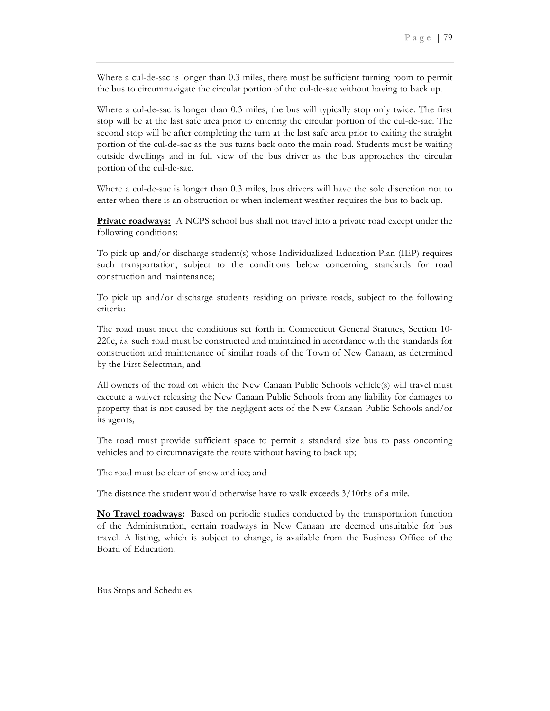Where a cul-de-sac is longer than 0.3 miles, there must be sufficient turning room to permit the bus to circumnavigate the circular portion of the cul-de-sac without having to back up.

Where a cul-de-sac is longer than 0.3 miles, the bus will typically stop only twice. The first stop will be at the last safe area prior to entering the circular portion of the cul-de-sac. The second stop will be after completing the turn at the last safe area prior to exiting the straight portion of the cul-de-sac as the bus turns back onto the main road. Students must be waiting outside dwellings and in full view of the bus driver as the bus approaches the circular portion of the cul-de-sac.

Where a cul-de-sac is longer than 0.3 miles, bus drivers will have the sole discretion not to enter when there is an obstruction or when inclement weather requires the bus to back up.

**Private roadways:** A NCPS school bus shall not travel into a private road except under the following conditions:

To pick up and/or discharge student(s) whose Individualized Education Plan (IEP) requires such transportation, subject to the conditions below concerning standards for road construction and maintenance;

To pick up and/or discharge students residing on private roads, subject to the following criteria:

The road must meet the conditions set forth in Connecticut General Statutes, Section 10- 220c, *i.e.* such road must be constructed and maintained in accordance with the standards for construction and maintenance of similar roads of the Town of New Canaan, as determined by the First Selectman, and

All owners of the road on which the New Canaan Public Schools vehicle(s) will travel must execute a waiver releasing the New Canaan Public Schools from any liability for damages to property that is not caused by the negligent acts of the New Canaan Public Schools and/or its agents;

The road must provide sufficient space to permit a standard size bus to pass oncoming vehicles and to circumnavigate the route without having to back up;

The road must be clear of snow and ice; and

The distance the student would otherwise have to walk exceeds 3/10ths of a mile.

**No Travel roadways:** Based on periodic studies conducted by the transportation function of the Administration, certain roadways in New Canaan are deemed unsuitable for bus travel. A listing, which is subject to change, is available from the Business Office of the Board of Education.

Bus Stops and Schedules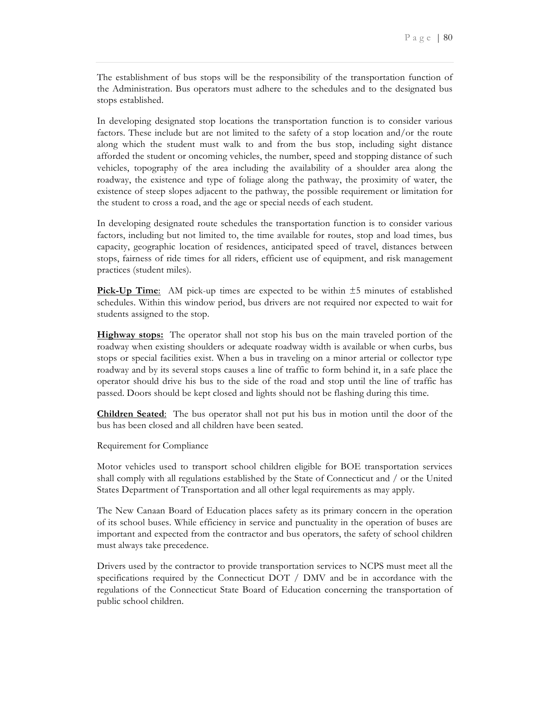The establishment of bus stops will be the responsibility of the transportation function of the Administration. Bus operators must adhere to the schedules and to the designated bus stops established.

In developing designated stop locations the transportation function is to consider various factors. These include but are not limited to the safety of a stop location and/or the route along which the student must walk to and from the bus stop, including sight distance afforded the student or oncoming vehicles, the number, speed and stopping distance of such vehicles, topography of the area including the availability of a shoulder area along the roadway, the existence and type of foliage along the pathway, the proximity of water, the existence of steep slopes adjacent to the pathway, the possible requirement or limitation for the student to cross a road, and the age or special needs of each student.

In developing designated route schedules the transportation function is to consider various factors, including but not limited to, the time available for routes, stop and load times, bus capacity, geographic location of residences, anticipated speed of travel, distances between stops, fairness of ride times for all riders, efficient use of equipment, and risk management practices (student miles).

**Pick-Up Time**: AM pick-up times are expected to be within  $\pm 5$  minutes of established schedules. Within this window period, bus drivers are not required nor expected to wait for students assigned to the stop.

**Highway stops:** The operator shall not stop his bus on the main traveled portion of the roadway when existing shoulders or adequate roadway width is available or when curbs, bus stops or special facilities exist. When a bus in traveling on a minor arterial or collector type roadway and by its several stops causes a line of traffic to form behind it, in a safe place the operator should drive his bus to the side of the road and stop until the line of traffic has passed. Doors should be kept closed and lights should not be flashing during this time.

**Children Seated**: The bus operator shall not put his bus in motion until the door of the bus has been closed and all children have been seated.

Requirement for Compliance

Motor vehicles used to transport school children eligible for BOE transportation services shall comply with all regulations established by the State of Connecticut and / or the United States Department of Transportation and all other legal requirements as may apply.

The New Canaan Board of Education places safety as its primary concern in the operation of its school buses. While efficiency in service and punctuality in the operation of buses are important and expected from the contractor and bus operators, the safety of school children must always take precedence.

Drivers used by the contractor to provide transportation services to NCPS must meet all the specifications required by the Connecticut DOT / DMV and be in accordance with the regulations of the Connecticut State Board of Education concerning the transportation of public school children.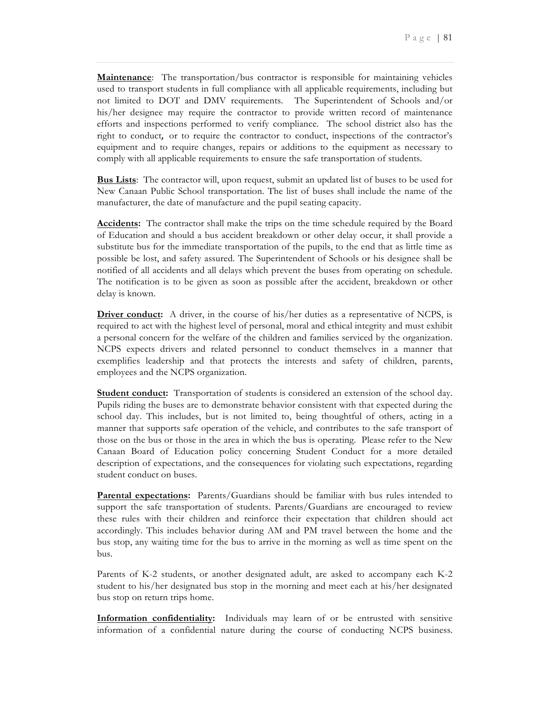**Maintenance**: The transportation/bus contractor is responsible for maintaining vehicles used to transport students in full compliance with all applicable requirements, including but not limited to DOT and DMV requirements.The Superintendent of Schools and/or his/her designee may require the contractor to provide written record of maintenance efforts and inspections performed to verify compliance. The school district also has the right to conduct*,* or to require the contractor to conduct, inspections of the contractor's equipment and to require changes, repairs or additions to the equipment as necessary to comply with all applicable requirements to ensure the safe transportation of students*.*

**Bus Lists**: The contractor will, upon request, submit an updated list of buses to be used for New Canaan Public School transportation. The list of buses shall include the name of the manufacturer, the date of manufacture and the pupil seating capacity.

**Accidents:** The contractor shall make the trips on the time schedule required by the Board of Education and should a bus accident breakdown or other delay occur, it shall provide a substitute bus for the immediate transportation of the pupils, to the end that as little time as possible be lost, and safety assured. The Superintendent of Schools or his designee shall be notified of all accidents and all delays which prevent the buses from operating on schedule. The notification is to be given as soon as possible after the accident, breakdown or other delay is known.

**Driver conduct:** A driver, in the course of his/her duties as a representative of NCPS, is required to act with the highest level of personal, moral and ethical integrity and must exhibit a personal concern for the welfare of the children and families serviced by the organization. NCPS expects drivers and related personnel to conduct themselves in a manner that exemplifies leadership and that protects the interests and safety of children, parents, employees and the NCPS organization.

**Student conduct:** Transportation of students is considered an extension of the school day. Pupils riding the buses are to demonstrate behavior consistent with that expected during the school day. This includes, but is not limited to, being thoughtful of others, acting in a manner that supports safe operation of the vehicle, and contributes to the safe transport of those on the bus or those in the area in which the bus is operating. Please refer to the New Canaan Board of Education policy concerning Student Conduct for a more detailed description of expectations, and the consequences for violating such expectations, regarding student conduct on buses.

**Parental expectations:** Parents/Guardians should be familiar with bus rules intended to support the safe transportation of students. Parents/Guardians are encouraged to review these rules with their children and reinforce their expectation that children should act accordingly. This includes behavior during AM and PM travel between the home and the bus stop, any waiting time for the bus to arrive in the morning as well as time spent on the bus.

Parents of K-2 students, or another designated adult, are asked to accompany each K-2 student to his/her designated bus stop in the morning and meet each at his/her designated bus stop on return trips home.

**Information confidentiality:** Individuals may learn of or be entrusted with sensitive information of a confidential nature during the course of conducting NCPS business.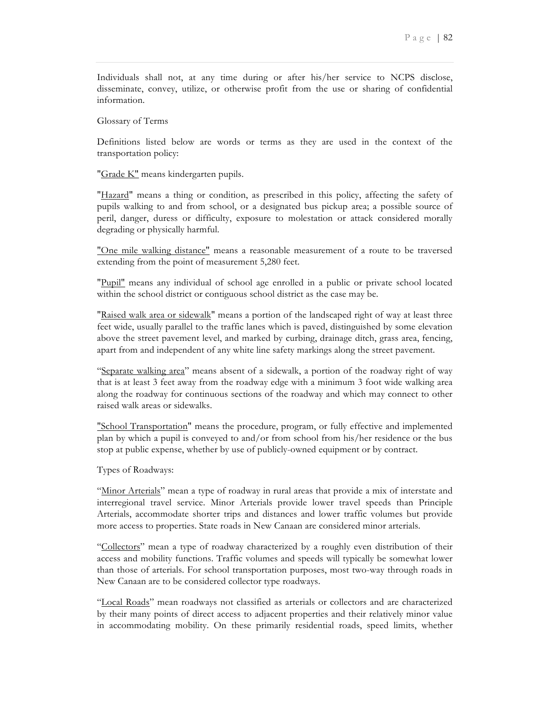Individuals shall not, at any time during or after his/her service to NCPS disclose, disseminate, convey, utilize, or otherwise profit from the use or sharing of confidential information.

Glossary of Terms

Definitions listed below are words or terms as they are used in the context of the transportation policy:

"Grade K" means kindergarten pupils.

"Hazard" means a thing or condition, as prescribed in this policy, affecting the safety of pupils walking to and from school, or a designated bus pickup area; a possible source of peril, danger, duress or difficulty, exposure to molestation or attack considered morally degrading or physically harmful.

"One mile walking distance" means a reasonable measurement of a route to be traversed extending from the point of measurement 5,280 feet.

"Pupil" means any individual of school age enrolled in a public or private school located within the school district or contiguous school district as the case may be.

"Raised walk area or sidewalk" means a portion of the landscaped right of way at least three feet wide, usually parallel to the traffic lanes which is paved, distinguished by some elevation above the street pavement level, and marked by curbing, drainage ditch, grass area, fencing, apart from and independent of any white line safety markings along the street pavement.

"Separate walking area" means absent of a sidewalk, a portion of the roadway right of way that is at least 3 feet away from the roadway edge with a minimum 3 foot wide walking area along the roadway for continuous sections of the roadway and which may connect to other raised walk areas or sidewalks.

"School Transportation" means the procedure, program, or fully effective and implemented plan by which a pupil is conveyed to and/or from school from his/her residence or the bus stop at public expense, whether by use of publicly-owned equipment or by contract.

Types of Roadways:

"Minor Arterials" mean a type of roadway in rural areas that provide a mix of interstate and interregional travel service. Minor Arterials provide lower travel speeds than Principle Arterials, accommodate shorter trips and distances and lower traffic volumes but provide more access to properties. State roads in New Canaan are considered minor arterials.

"Collectors" mean a type of roadway characterized by a roughly even distribution of their access and mobility functions. Traffic volumes and speeds will typically be somewhat lower than those of arterials. For school transportation purposes, most two-way through roads in New Canaan are to be considered collector type roadways.

"Local Roads" mean roadways not classified as arterials or collectors and are characterized by their many points of direct access to adjacent properties and their relatively minor value in accommodating mobility. On these primarily residential roads, speed limits, whether